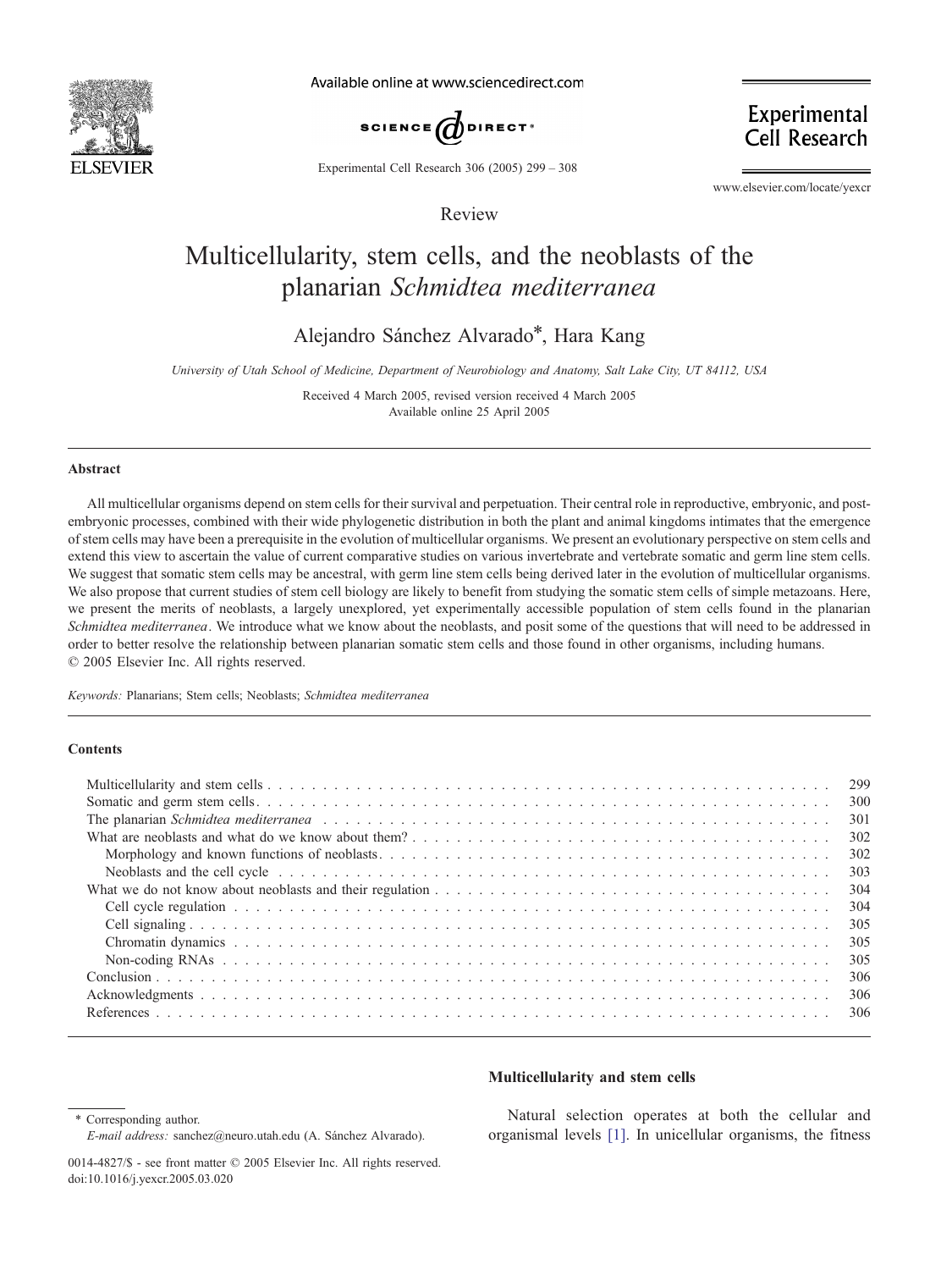

Available online at www.sciencedirect.com



Experimental **Cell Research** 

Experimental Cell Research 306 (2005) 299 – 308

Review

www.elsevier.com/locate/yexcr

# Multicellularity, stem cells, and the neoblasts of the planarian Schmidtea mediterranea

Alejandro Sánchez Alvarado\*, Hara Kang

University of Utah School of Medicine, Department of Neurobiology and Anatomy, Salt Lake City, UT 84112, USA

Received 4 March 2005, revised version received 4 March 2005 Available online 25 April 2005

## Abstract

All multicellular organisms depend on stem cells for their survival and perpetuation. Their central role in reproductive, embryonic, and postembryonic processes, combined with their wide phylogenetic distribution in both the plant and animal kingdoms intimates that the emergence of stem cells may have been a prerequisite in the evolution of multicellular organisms. We present an evolutionary perspective on stem cells and extend this view to ascertain the value of current comparative studies on various invertebrate and vertebrate somatic and germ line stem cells. We suggest that somatic stem cells may be ancestral, with germ line stem cells being derived later in the evolution of multicellular organisms. We also propose that current studies of stem cell biology are likely to benefit from studying the somatic stem cells of simple metazoans. Here, we present the merits of neoblasts, a largely unexplored, yet experimentally accessible population of stem cells found in the planarian Schmidtea mediterranea. We introduce what we know about the neoblasts, and posit some of the questions that will need to be addressed in order to better resolve the relationship between planarian somatic stem cells and those found in other organisms, including humans.  $© 2005 Elsevier Inc. All rights reserved.$ 

Keywords: Planarians; Stem cells; Neoblasts; Schmidtea mediterranea

# **Contents**

| -306 |
|------|

# Multicellularity and stem cells

Corresponding author.

E-mail address: sanchez@neuro.utah.edu (A. Sánchez Alvarado).

Natural selection operates at both the cellular and organismal levels [\[1\].](#page-7-0) In unicellular organisms, the fitness

<sup>0014-4827/\$ -</sup> see front matter © 2005 Elsevier Inc. All rights reserved. doi:10.1016/j.yexcr.2005.03.020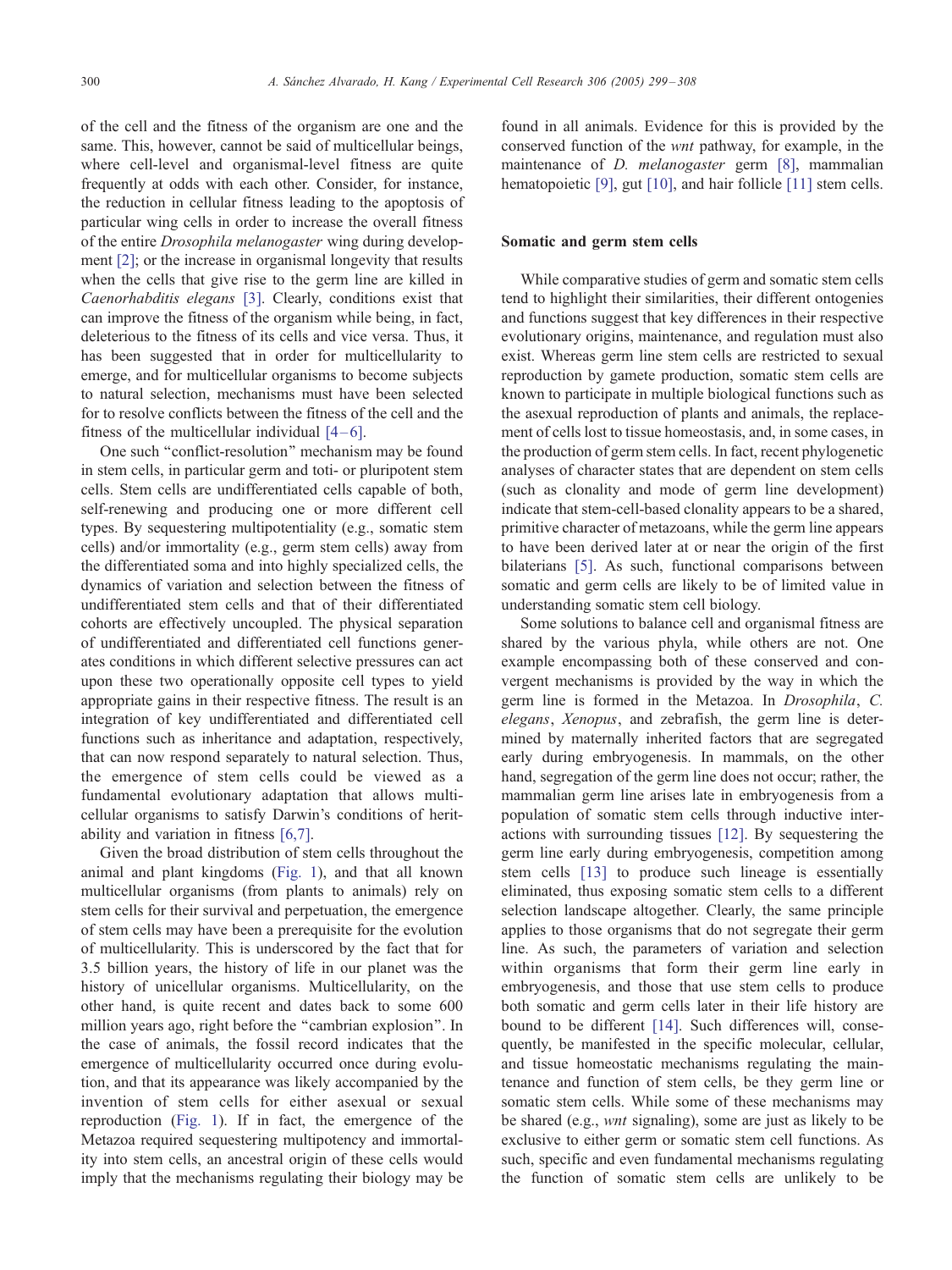of the cell and the fitness of the organism are one and the same. This, however, cannot be said of multicellular beings, where cell-level and organismal-level fitness are quite frequently at odds with each other. Consider, for instance, the reduction in cellular fitness leading to the apoptosis of particular wing cells in order to increase the overall fitness of the entire Drosophila melanogaster wing during development [\[2\];](#page-7-0) or the increase in organismal longevity that results when the cells that give rise to the germ line are killed in Caenorhabditis elegans [\[3\].](#page-7-0) Clearly, conditions exist that can improve the fitness of the organism while being, in fact, deleterious to the fitness of its cells and vice versa. Thus, it has been suggested that in order for multicellularity to emerge, and for multicellular organisms to become subjects to natural selection, mechanisms must have been selected for to resolve conflicts between the fitness of the cell and the fitness of the multicellular individual  $[4-6]$ .

One such "conflict-resolution" mechanism may be found in stem cells, in particular germ and toti- or pluripotent stem cells. Stem cells are undifferentiated cells capable of both, self-renewing and producing one or more different cell types. By sequestering multipotentiality (e.g., somatic stem cells) and/or immortality (e.g., germ stem cells) away from the differentiated soma and into highly specialized cells, the dynamics of variation and selection between the fitness of undifferentiated stem cells and that of their differentiated cohorts are effectively uncoupled. The physical separation of undifferentiated and differentiated cell functions generates conditions in which different selective pressures can act upon these two operationally opposite cell types to yield appropriate gains in their respective fitness. The result is an integration of key undifferentiated and differentiated cell functions such as inheritance and adaptation, respectively, that can now respond separately to natural selection. Thus, the emergence of stem cells could be viewed as a fundamental evolutionary adaptation that allows multicellular organisms to satisfy Darwin's conditions of heritability and variation in fitness [\[6,7\].](#page-7-0)

Given the broad distribution of stem cells throughout the animal and plant kingdoms ([Fig. 1\)](#page-2-0), and that all known multicellular organisms (from plants to animals) rely on stem cells for their survival and perpetuation, the emergence of stem cells may have been a prerequisite for the evolution of multicellularity. This is underscored by the fact that for 3.5 billion years, the history of life in our planet was the history of unicellular organisms. Multicellularity, on the other hand, is quite recent and dates back to some 600 million years ago, right before the ''cambrian explosion''. In the case of animals, the fossil record indicates that the emergence of multicellularity occurred once during evolution, and that its appearance was likely accompanied by the invention of stem cells for either asexual or sexual reproduction ([Fig. 1\)](#page-2-0). If in fact, the emergence of the Metazoa required sequestering multipotency and immortality into stem cells, an ancestral origin of these cells would imply that the mechanisms regulating their biology may be

found in all animals. Evidence for this is provided by the conserved function of the wnt pathway, for example, in the maintenance of *D. melanogaster* germ [\[8\],](#page-7-0) mammalian hematopoietic [\[9\],](#page-7-0) gut [\[10\],](#page-8-0) and hair follicle [\[11\]](#page-8-0) stem cells.

# Somatic and germ stem cells

While comparative studies of germ and somatic stem cells tend to highlight their similarities, their different ontogenies and functions suggest that key differences in their respective evolutionary origins, maintenance, and regulation must also exist. Whereas germ line stem cells are restricted to sexual reproduction by gamete production, somatic stem cells are known to participate in multiple biological functions such as the asexual reproduction of plants and animals, the replacement of cells lost to tissue homeostasis, and, in some cases, in the production of germ stem cells. In fact, recent phylogenetic analyses of character states that are dependent on stem cells (such as clonality and mode of germ line development) indicate that stem-cell-based clonality appears to be a shared, primitive character of metazoans, while the germ line appears to have been derived later at or near the origin of the first bilaterians [\[5\].](#page-7-0) As such, functional comparisons between somatic and germ cells are likely to be of limited value in understanding somatic stem cell biology.

Some solutions to balance cell and organismal fitness are shared by the various phyla, while others are not. One example encompassing both of these conserved and convergent mechanisms is provided by the way in which the germ line is formed in the Metazoa. In Drosophila, C. elegans, Xenopus, and zebrafish, the germ line is determined by maternally inherited factors that are segregated early during embryogenesis. In mammals, on the other hand, segregation of the germ line does not occur; rather, the mammalian germ line arises late in embryogenesis from a population of somatic stem cells through inductive interactions with surrounding tissues [\[12\].](#page-8-0) By sequestering the germ line early during embryogenesis, competition among stem cells [\[13\]](#page-8-0) to produce such lineage is essentially eliminated, thus exposing somatic stem cells to a different selection landscape altogether. Clearly, the same principle applies to those organisms that do not segregate their germ line. As such, the parameters of variation and selection within organisms that form their germ line early in embryogenesis, and those that use stem cells to produce both somatic and germ cells later in their life history are bound to be different [\[14\].](#page-8-0) Such differences will, consequently, be manifested in the specific molecular, cellular, and tissue homeostatic mechanisms regulating the maintenance and function of stem cells, be they germ line or somatic stem cells. While some of these mechanisms may be shared (e.g., wnt signaling), some are just as likely to be exclusive to either germ or somatic stem cell functions. As such, specific and even fundamental mechanisms regulating the function of somatic stem cells are unlikely to be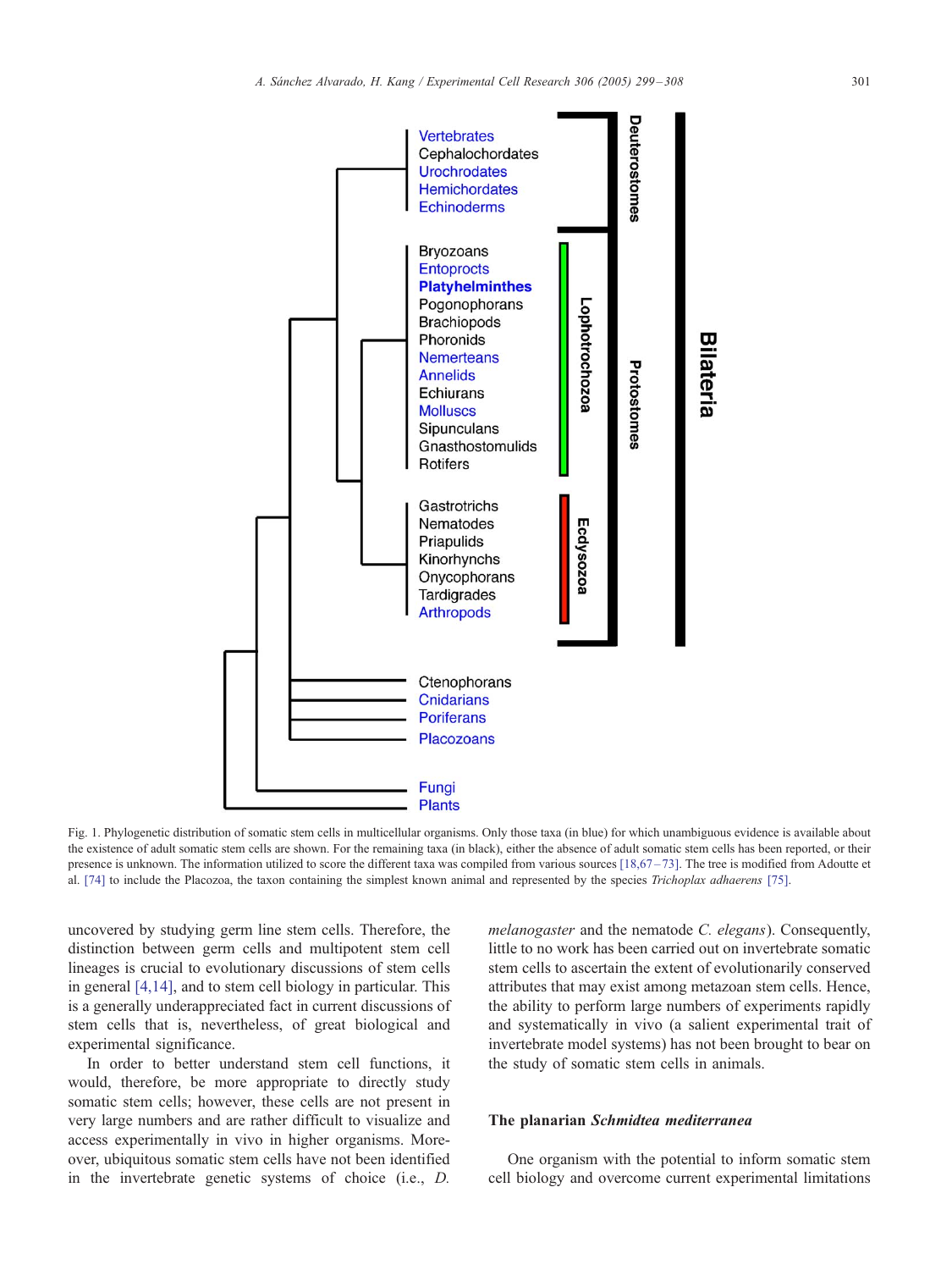<span id="page-2-0"></span>

Fig. 1. Phylogenetic distribution of somatic stem cells in multicellular organisms. Only those taxa (in blue) for which unambiguous evidence is available about the existence of adult somatic stem cells are shown. For the remaining taxa (in black), either the absence of adult somatic stem cells has been reported, or their presence is unknown. The information utilized to score the different taxa was compiled from various sources [\[18,67 – 73\].](#page-8-0) The tree is modified from Adoutte et al. [\[74\]](#page-9-0) to include the Placozoa, the taxon containing the simplest known animal and represented by the species Trichoplax adhaerens [\[75\].](#page-9-0)

uncovered by studying germ line stem cells. Therefore, the distinction between germ cells and multipotent stem cell lineages is crucial to evolutionary discussions of stem cells in general [\[4,14\],](#page-7-0) and to stem cell biology in particular. This is a generally underappreciated fact in current discussions of stem cells that is, nevertheless, of great biological and experimental significance.

In order to better understand stem cell functions, it would, therefore, be more appropriate to directly study somatic stem cells; however, these cells are not present in very large numbers and are rather difficult to visualize and access experimentally in vivo in higher organisms. Moreover, ubiquitous somatic stem cells have not been identified in the invertebrate genetic systems of choice (i.e., D.

melanogaster and the nematode C. elegans). Consequently, little to no work has been carried out on invertebrate somatic stem cells to ascertain the extent of evolutionarily conserved attributes that may exist among metazoan stem cells. Hence, the ability to perform large numbers of experiments rapidly and systematically in vivo (a salient experimental trait of invertebrate model systems) has not been brought to bear on the study of somatic stem cells in animals.

## The planarian Schmidtea mediterranea

One organism with the potential to inform somatic stem cell biology and overcome current experimental limitations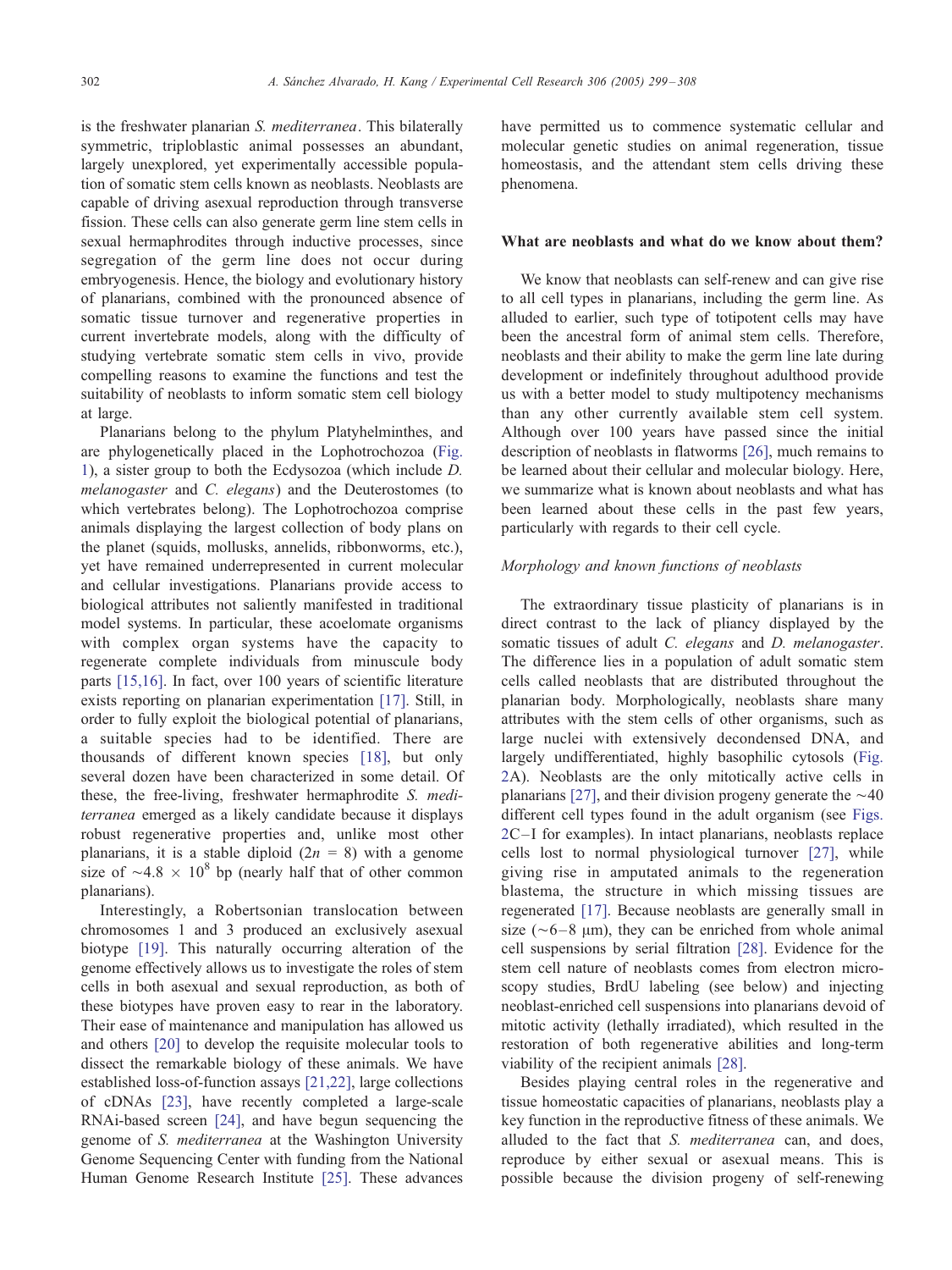is the freshwater planarian S. mediterranea. This bilaterally symmetric, triploblastic animal possesses an abundant, largely unexplored, yet experimentally accessible population of somatic stem cells known as neoblasts. Neoblasts are capable of driving asexual reproduction through transverse fission. These cells can also generate germ line stem cells in sexual hermaphrodites through inductive processes, since segregation of the germ line does not occur during embryogenesis. Hence, the biology and evolutionary history of planarians, combined with the pronounced absence of somatic tissue turnover and regenerative properties in current invertebrate models, along with the difficulty of studying vertebrate somatic stem cells in vivo, provide compelling reasons to examine the functions and test the suitability of neoblasts to inform somatic stem cell biology at large.

Planarians belong to the phylum Platyhelminthes, and are phylogenetically placed in the Lophotrochozoa ([Fig.](#page-2-0) 1), a sister group to both the Ecdysozoa (which include D. melanogaster and C. elegans) and the Deuterostomes (to which vertebrates belong). The Lophotrochozoa comprise animals displaying the largest collection of body plans on the planet (squids, mollusks, annelids, ribbonworms, etc.), yet have remained underrepresented in current molecular and cellular investigations. Planarians provide access to biological attributes not saliently manifested in traditional model systems. In particular, these acoelomate organisms with complex organ systems have the capacity to regenerate complete individuals from minuscule body parts [\[15,16\]](#page-8-0). In fact, over 100 years of scientific literature exists reporting on planarian experimentation [\[17\].](#page-8-0) Still, in order to fully exploit the biological potential of planarians, a suitable species had to be identified. There are thousands of different known species [\[18\],](#page-8-0) but only several dozen have been characterized in some detail. Of these, the free-living, freshwater hermaphrodite S. mediterranea emerged as a likely candidate because it displays robust regenerative properties and, unlike most other planarians, it is a stable diploid  $(2n = 8)$  with a genome size of  $\sim$ 4.8  $\times$  10<sup>8</sup> bp (nearly half that of other common planarians).

Interestingly, a Robertsonian translocation between chromosomes 1 and 3 produced an exclusively asexual biotype [\[19\].](#page-8-0) This naturally occurring alteration of the genome effectively allows us to investigate the roles of stem cells in both asexual and sexual reproduction, as both of these biotypes have proven easy to rear in the laboratory. Their ease of maintenance and manipulation has allowed us and others [\[20\]](#page-8-0) to develop the requisite molecular tools to dissect the remarkable biology of these animals. We have established loss-of-function assays [\[21,22\],](#page-8-0) large collections of cDNAs [\[23\],](#page-8-0) have recently completed a large-scale RNAi-based screen [\[24\],](#page-8-0) and have begun sequencing the genome of S. mediterranea at the Washington University Genome Sequencing Center with funding from the National Human Genome Research Institute [\[25\].](#page-8-0) These advances

have permitted us to commence systematic cellular and molecular genetic studies on animal regeneration, tissue homeostasis, and the attendant stem cells driving these phenomena.

## What are neoblasts and what do we know about them?

We know that neoblasts can self-renew and can give rise to all cell types in planarians, including the germ line. As alluded to earlier, such type of totipotent cells may have been the ancestral form of animal stem cells. Therefore, neoblasts and their ability to make the germ line late during development or indefinitely throughout adulthood provide us with a better model to study multipotency mechanisms than any other currently available stem cell system. Although over 100 years have passed since the initial description of neoblasts in flatworms [\[26\],](#page-8-0) much remains to be learned about their cellular and molecular biology. Here, we summarize what is known about neoblasts and what has been learned about these cells in the past few years, particularly with regards to their cell cycle.

# Morphology and known functions of neoblasts

The extraordinary tissue plasticity of planarians is in direct contrast to the lack of pliancy displayed by the somatic tissues of adult C. elegans and D. melanogaster. The difference lies in a population of adult somatic stem cells called neoblasts that are distributed throughout the planarian body. Morphologically, neoblasts share many attributes with the stem cells of other organisms, such as large nuclei with extensively decondensed DNA, and largely undifferentiated, highly basophilic cytosols ([Fig.](#page-4-0) 2A). Neoblasts are the only mitotically active cells in planarians [\[27\],](#page-8-0) and their division progeny generate the  $\sim$ 40 different cell types found in the adult organism (see [Figs.](#page-4-0) 2C– I for examples). In intact planarians, neoblasts replace cells lost to normal physiological turnover [\[27\],](#page-8-0) while giving rise in amputated animals to the regeneration blastema, the structure in which missing tissues are regenerated [\[17\].](#page-8-0) Because neoblasts are generally small in size ( $\sim$ 6–8  $\mu$ m), they can be enriched from whole animal cell suspensions by serial filtration [\[28\].](#page-8-0) Evidence for the stem cell nature of neoblasts comes from electron microscopy studies, BrdU labeling (see below) and injecting neoblast-enriched cell suspensions into planarians devoid of mitotic activity (lethally irradiated), which resulted in the restoration of both regenerative abilities and long-term viability of the recipient animals [\[28\].](#page-8-0)

Besides playing central roles in the regenerative and tissue homeostatic capacities of planarians, neoblasts play a key function in the reproductive fitness of these animals. We alluded to the fact that S. mediterranea can, and does, reproduce by either sexual or asexual means. This is possible because the division progeny of self-renewing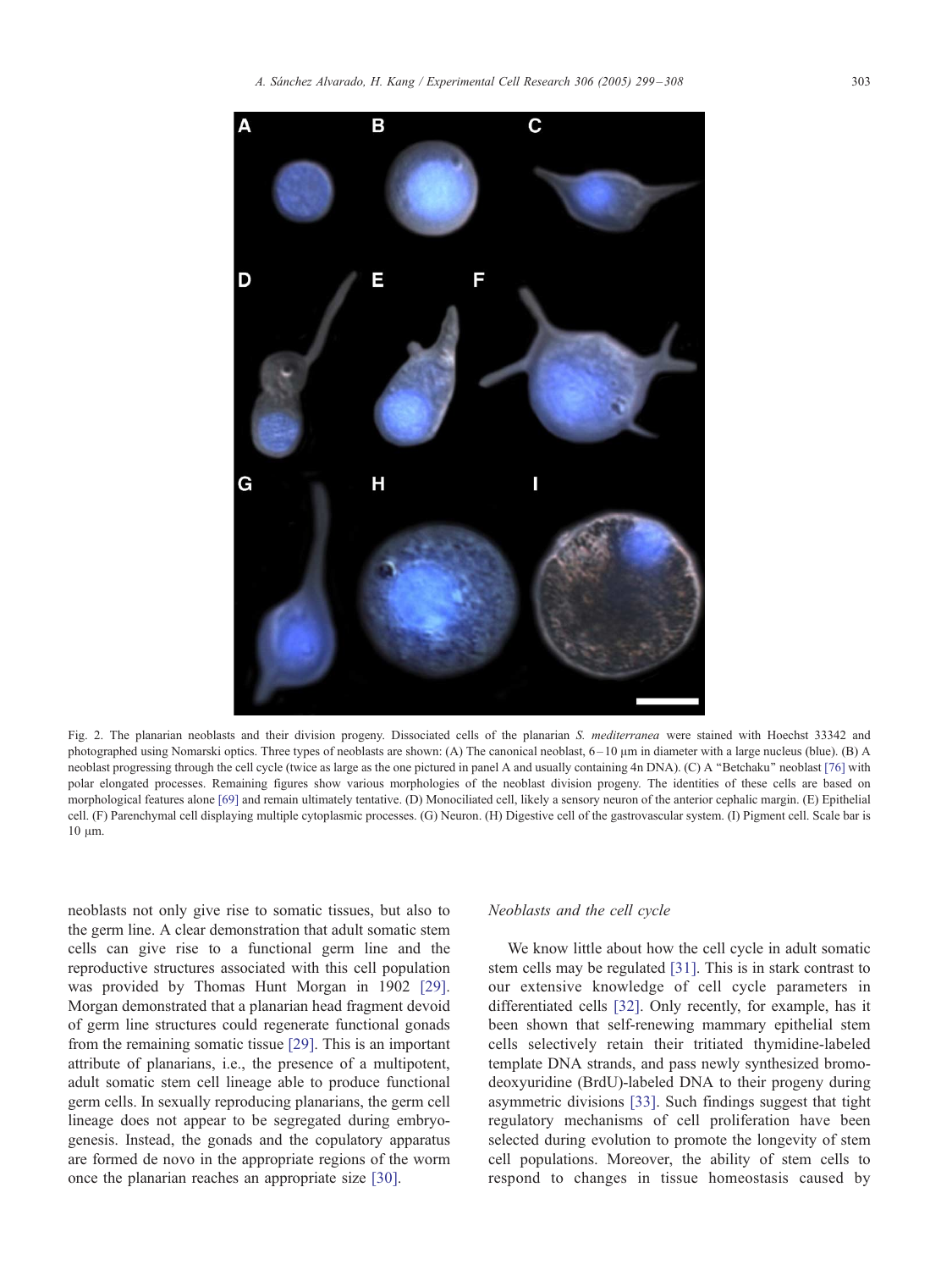<span id="page-4-0"></span>

Fig. 2. The planarian neoblasts and their division progeny. Dissociated cells of the planarian S. mediterranea were stained with Hoechst 33342 and photographed using Nomarski optics. Three types of neoblasts are shown: (A) The canonical neoblast,  $6-10 \mu m$  in diameter with a large nucleus (blue). (B) A neoblast progressing through the cell cycle (twice as large as the one pictured in panel A and usually containing 4n DNA). (C) A "Betchaku" neoblast [\[76\]](#page-9-0) with polar elongated processes. Remaining figures show various morphologies of the neoblast division progeny. The identities of these cells are based on morphological features alone [\[69\]](#page-9-0) and remain ultimately tentative. (D) Monociliated cell, likely a sensory neuron of the anterior cephalic margin. (E) Epithelial cell. (F) Parenchymal cell displaying multiple cytoplasmic processes. (G) Neuron. (H) Digestive cell of the gastrovascular system. (I) Pigment cell. Scale bar is  $10 \mu m$ .

neoblasts not only give rise to somatic tissues, but also to the germ line. A clear demonstration that adult somatic stem cells can give rise to a functional germ line and the reproductive structures associated with this cell population was provided by Thomas Hunt Morgan in 1902 [\[29\].](#page-8-0) Morgan demonstrated that a planarian head fragment devoid of germ line structures could regenerate functional gonads from the remaining somatic tissue [\[29\].](#page-8-0) This is an important attribute of planarians, i.e., the presence of a multipotent, adult somatic stem cell lineage able to produce functional germ cells. In sexually reproducing planarians, the germ cell lineage does not appear to be segregated during embryogenesis. Instead, the gonads and the copulatory apparatus are formed de novo in the appropriate regions of the worm once the planarian reaches an appropriate size [\[30\].](#page-8-0)

## Neoblasts and the cell cycle

We know little about how the cell cycle in adult somatic stem cells may be regulated [\[31\].](#page-8-0) This is in stark contrast to our extensive knowledge of cell cycle parameters in differentiated cells [\[32\].](#page-8-0) Only recently, for example, has it been shown that self-renewing mammary epithelial stem cells selectively retain their tritiated thymidine-labeled template DNA strands, and pass newly synthesized bromodeoxyuridine (BrdU)-labeled DNA to their progeny during asymmetric divisions [\[33\].](#page-8-0) Such findings suggest that tight regulatory mechanisms of cell proliferation have been selected during evolution to promote the longevity of stem cell populations. Moreover, the ability of stem cells to respond to changes in tissue homeostasis caused by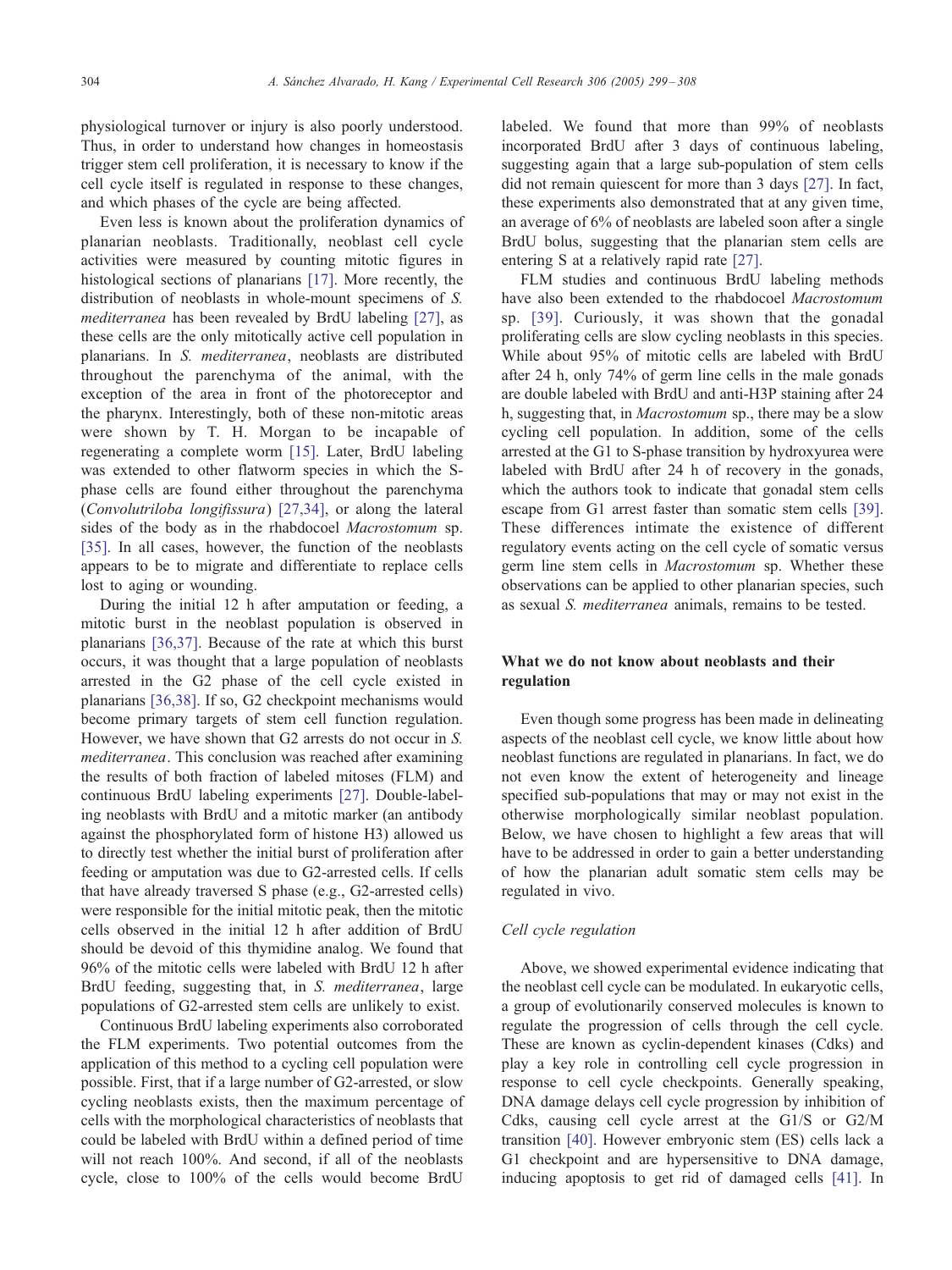physiological turnover or injury is also poorly understood. Thus, in order to understand how changes in homeostasis trigger stem cell proliferation, it is necessary to know if the cell cycle itself is regulated in response to these changes, and which phases of the cycle are being affected.

Even less is known about the proliferation dynamics of planarian neoblasts. Traditionally, neoblast cell cycle activities were measured by counting mitotic figures in histological sections of planarians [\[17\].](#page-8-0) More recently, the distribution of neoblasts in whole-mount specimens of S. mediterranea has been revealed by BrdU labeling [\[27\],](#page-8-0) as these cells are the only mitotically active cell population in planarians. In S. mediterranea, neoblasts are distributed throughout the parenchyma of the animal, with the exception of the area in front of the photoreceptor and the pharynx. Interestingly, both of these non-mitotic areas were shown by T. H. Morgan to be incapable of regenerating a complete worm [\[15\].](#page-8-0) Later, BrdU labeling was extended to other flatworm species in which the Sphase cells are found either throughout the parenchyma (Convolutriloba longifissura) [\[27,34\],](#page-8-0) or along the lateral sides of the body as in the rhabdocoel Macrostomum sp. [\[35\]](#page-8-0). In all cases, however, the function of the neoblasts appears to be to migrate and differentiate to replace cells lost to aging or wounding.

During the initial 12 h after amputation or feeding, a mitotic burst in the neoblast population is observed in planarians [\[36,37\].](#page-8-0) Because of the rate at which this burst occurs, it was thought that a large population of neoblasts arrested in the G2 phase of the cell cycle existed in planarians [\[36,38\].](#page-8-0) If so, G2 checkpoint mechanisms would become primary targets of stem cell function regulation. However, we have shown that G2 arrests do not occur in S. mediterranea. This conclusion was reached after examining the results of both fraction of labeled mitoses (FLM) and continuous BrdU labeling experiments [\[27\].](#page-8-0) Double-labeling neoblasts with BrdU and a mitotic marker (an antibody against the phosphorylated form of histone H3) allowed us to directly test whether the initial burst of proliferation after feeding or amputation was due to G2-arrested cells. If cells that have already traversed S phase (e.g., G2-arrested cells) were responsible for the initial mitotic peak, then the mitotic cells observed in the initial 12 h after addition of BrdU should be devoid of this thymidine analog. We found that 96% of the mitotic cells were labeled with BrdU 12 h after BrdU feeding, suggesting that, in S. mediterranea, large populations of G2-arrested stem cells are unlikely to exist.

Continuous BrdU labeling experiments also corroborated the FLM experiments. Two potential outcomes from the application of this method to a cycling cell population were possible. First, that if a large number of G2-arrested, or slow cycling neoblasts exists, then the maximum percentage of cells with the morphological characteristics of neoblasts that could be labeled with BrdU within a defined period of time will not reach 100%. And second, if all of the neoblasts cycle, close to 100% of the cells would become BrdU

labeled. We found that more than 99% of neoblasts incorporated BrdU after 3 days of continuous labeling, suggesting again that a large sub-population of stem cells did not remain quiescent for more than 3 days [\[27\].](#page-8-0) In fact, these experiments also demonstrated that at any given time, an average of 6% of neoblasts are labeled soon after a single BrdU bolus, suggesting that the planarian stem cells are entering S at a relatively rapid rate [\[27\].](#page-8-0)

FLM studies and continuous BrdU labeling methods have also been extended to the rhabdocoel Macrostomum sp. [\[39\].](#page-8-0) Curiously, it was shown that the gonadal proliferating cells are slow cycling neoblasts in this species. While about 95% of mitotic cells are labeled with BrdU after 24 h, only 74% of germ line cells in the male gonads are double labeled with BrdU and anti-H3P staining after 24 h, suggesting that, in Macrostomum sp., there may be a slow cycling cell population. In addition, some of the cells arrested at the G1 to S-phase transition by hydroxyurea were labeled with BrdU after 24 h of recovery in the gonads, which the authors took to indicate that gonadal stem cells escape from G1 arrest faster than somatic stem cells [\[39\].](#page-8-0) These differences intimate the existence of different regulatory events acting on the cell cycle of somatic versus germ line stem cells in Macrostomum sp. Whether these observations can be applied to other planarian species, such as sexual S. mediterranea animals, remains to be tested.

# What we do not know about neoblasts and their regulation

Even though some progress has been made in delineating aspects of the neoblast cell cycle, we know little about how neoblast functions are regulated in planarians. In fact, we do not even know the extent of heterogeneity and lineage specified sub-populations that may or may not exist in the otherwise morphologically similar neoblast population. Below, we have chosen to highlight a few areas that will have to be addressed in order to gain a better understanding of how the planarian adult somatic stem cells may be regulated in vivo.

## Cell cycle regulation

Above, we showed experimental evidence indicating that the neoblast cell cycle can be modulated. In eukaryotic cells, a group of evolutionarily conserved molecules is known to regulate the progression of cells through the cell cycle. These are known as cyclin-dependent kinases (Cdks) and play a key role in controlling cell cycle progression in response to cell cycle checkpoints. Generally speaking, DNA damage delays cell cycle progression by inhibition of Cdks, causing cell cycle arrest at the G1/S or G2/M transition [\[40\].](#page-8-0) However embryonic stem (ES) cells lack a G1 checkpoint and are hypersensitive to DNA damage, inducing apoptosis to get rid of damaged cells [\[41\].](#page-8-0) In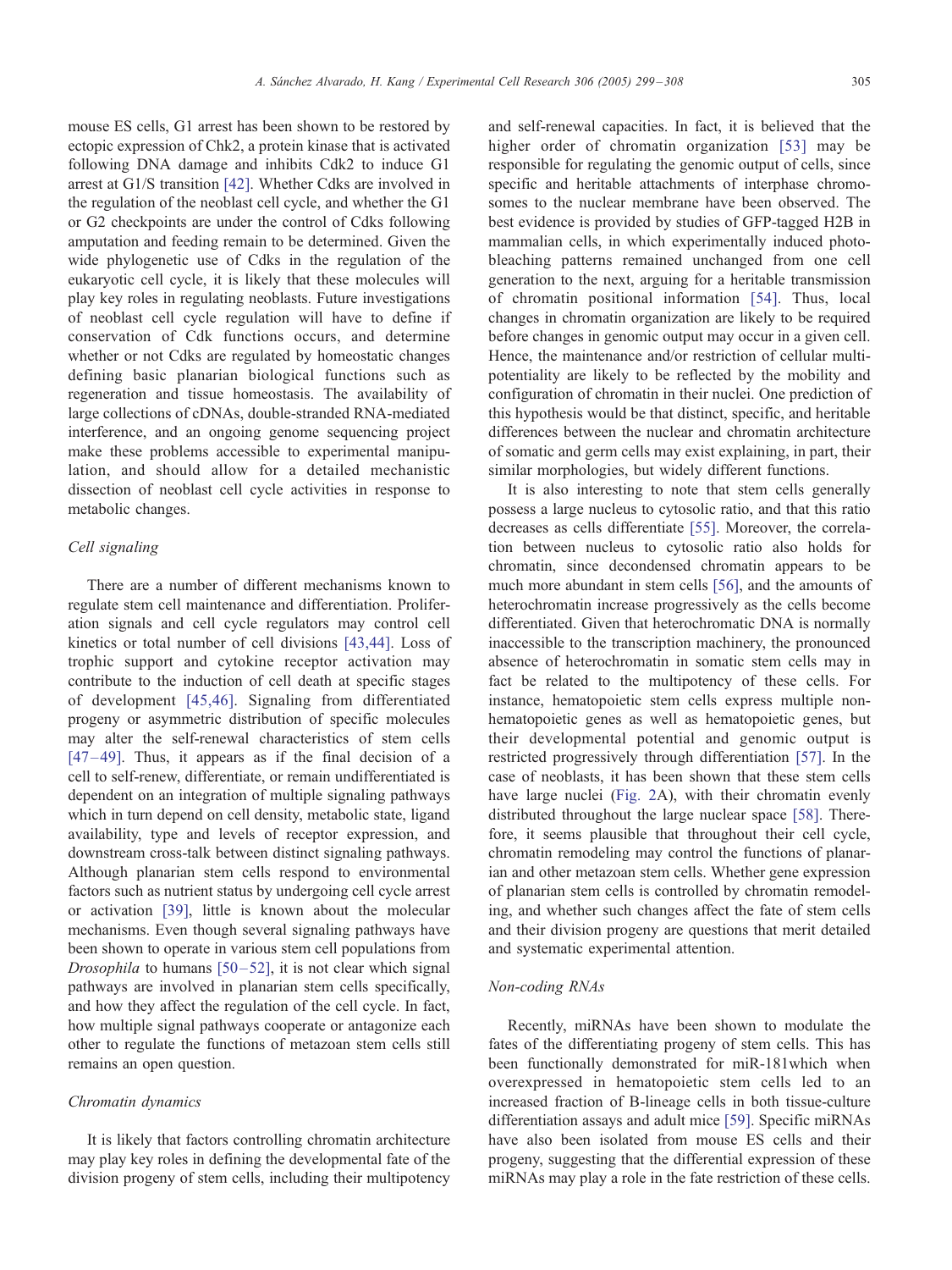mouse ES cells, G1 arrest has been shown to be restored by ectopic expression of Chk2, a protein kinase that is activated following DNA damage and inhibits Cdk2 to induce G1 arrest at G1/S transition [\[42\].](#page-8-0) Whether Cdks are involved in the regulation of the neoblast cell cycle, and whether the G1 or G2 checkpoints are under the control of Cdks following amputation and feeding remain to be determined. Given the wide phylogenetic use of Cdks in the regulation of the eukaryotic cell cycle, it is likely that these molecules will play key roles in regulating neoblasts. Future investigations of neoblast cell cycle regulation will have to define if conservation of Cdk functions occurs, and determine whether or not Cdks are regulated by homeostatic changes defining basic planarian biological functions such as regeneration and tissue homeostasis. The availability of large collections of cDNAs, double-stranded RNA-mediated interference, and an ongoing genome sequencing project make these problems accessible to experimental manipulation, and should allow for a detailed mechanistic dissection of neoblast cell cycle activities in response to metabolic changes.

# Cell signaling

There are a number of different mechanisms known to regulate stem cell maintenance and differentiation. Proliferation signals and cell cycle regulators may control cell kinetics or total number of cell divisions [\[43,44\].](#page-8-0) Loss of trophic support and cytokine receptor activation may contribute to the induction of cell death at specific stages of development [\[45,46\].](#page-8-0) Signaling from differentiated progeny or asymmetric distribution of specific molecules [may alter the self-renewal characteristics of stem cells](#page-8-0) [47 –49]. Thus, it appears as if the final decision of a cell to self-renew, differentiate, or remain undifferentiated is dependent on an integration of multiple signaling pathways which in turn depend on cell density, metabolic state, ligand availability, type and levels of receptor expression, and downstream cross-talk between distinct signaling pathways. Although planarian stem cells respond to environmental factors such as nutrient status by undergoing cell cycle arrest or activation [\[39\],](#page-8-0) little is known about the molecular mechanisms. Even though several signaling pathways have been shown to operate in various stem cell populations from *Drosophila* to humans  $[50-52]$ , it is not clear which signal pathways are involved in planarian stem cells specifically, and how they affect the regulation of the cell cycle. In fact, how multiple signal pathways cooperate or antagonize each other to regulate the functions of metazoan stem cells still remains an open question.

# Chromatin dynamics

It is likely that factors controlling chromatin architecture may play key roles in defining the developmental fate of the division progeny of stem cells, including their multipotency and self-renewal capacities. In fact, it is believed that the higher order of chromatin organization [\[53\]](#page-8-0) may be responsible for regulating the genomic output of cells, since specific and heritable attachments of interphase chromosomes to the nuclear membrane have been observed. The best evidence is provided by studies of GFP-tagged H2B in mammalian cells, in which experimentally induced photobleaching patterns remained unchanged from one cell generation to the next, arguing for a heritable transmission of chromatin positional information [\[54\].](#page-9-0) Thus, local changes in chromatin organization are likely to be required before changes in genomic output may occur in a given cell. Hence, the maintenance and/or restriction of cellular multipotentiality are likely to be reflected by the mobility and configuration of chromatin in their nuclei. One prediction of this hypothesis would be that distinct, specific, and heritable differences between the nuclear and chromatin architecture of somatic and germ cells may exist explaining, in part, their similar morphologies, but widely different functions.

It is also interesting to note that stem cells generally possess a large nucleus to cytosolic ratio, and that this ratio decreases as cells differentiate [\[55\].](#page-9-0) Moreover, the correlation between nucleus to cytosolic ratio also holds for chromatin, since decondensed chromatin appears to be much more abundant in stem cells [\[56\],](#page-9-0) and the amounts of heterochromatin increase progressively as the cells become differentiated. Given that heterochromatic DNA is normally inaccessible to the transcription machinery, the pronounced absence of heterochromatin in somatic stem cells may in fact be related to the multipotency of these cells. For instance, hematopoietic stem cells express multiple nonhematopoietic genes as well as hematopoietic genes, but their developmental potential and genomic output is restricted progressively through differentiation [\[57\].](#page-9-0) In the case of neoblasts, it has been shown that these stem cells have large nuclei ([Fig. 2A](#page-4-0)), with their chromatin evenly distributed throughout the large nuclear space [\[58\].](#page-9-0) Therefore, it seems plausible that throughout their cell cycle, chromatin remodeling may control the functions of planarian and other metazoan stem cells. Whether gene expression of planarian stem cells is controlled by chromatin remodeling, and whether such changes affect the fate of stem cells and their division progeny are questions that merit detailed and systematic experimental attention.

### Non-coding RNAs

Recently, miRNAs have been shown to modulate the fates of the differentiating progeny of stem cells. This has been functionally demonstrated for miR-181which when overexpressed in hematopoietic stem cells led to an increased fraction of B-lineage cells in both tissue-culture differentiation assays and adult mice [\[59\].](#page-9-0) Specific miRNAs have also been isolated from mouse ES cells and their progeny, suggesting that the differential expression of these miRNAs may play a role in the fate restriction of these cells.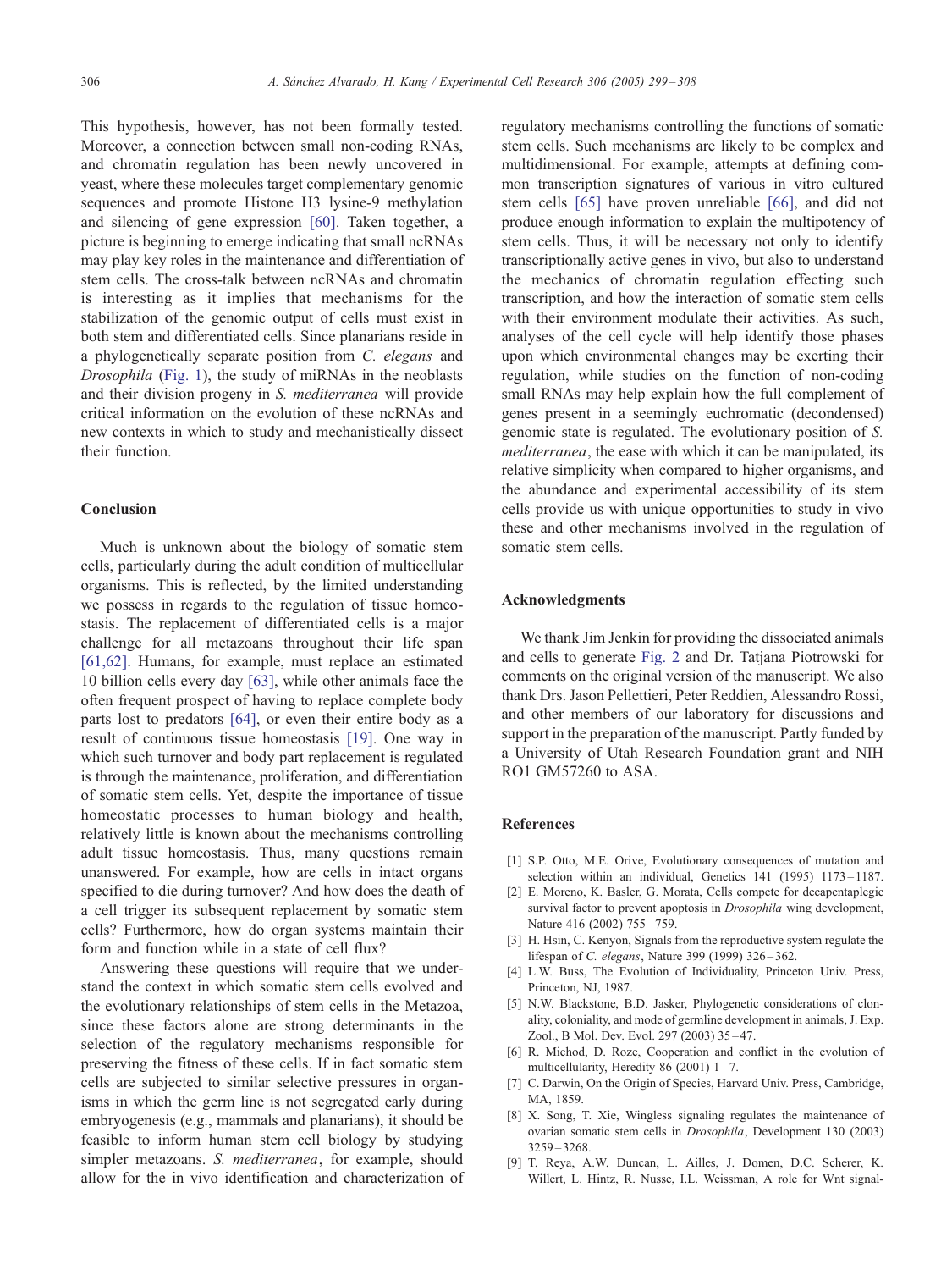<span id="page-7-0"></span>This hypothesis, however, has not been formally tested. Moreover, a connection between small non-coding RNAs, and chromatin regulation has been newly uncovered in yeast, where these molecules target complementary genomic sequences and promote Histone H3 lysine-9 methylation and silencing of gene expression [\[60\].](#page-9-0) Taken together, a picture is beginning to emerge indicating that small ncRNAs may play key roles in the maintenance and differentiation of stem cells. The cross-talk between ncRNAs and chromatin is interesting as it implies that mechanisms for the stabilization of the genomic output of cells must exist in both stem and differentiated cells. Since planarians reside in a phylogenetically separate position from C. elegans and Drosophila ([Fig. 1\)](#page-2-0), the study of miRNAs in the neoblasts and their division progeny in S. mediterranea will provide critical information on the evolution of these ncRNAs and new contexts in which to study and mechanistically dissect their function.

# Conclusion

Much is unknown about the biology of somatic stem cells, particularly during the adult condition of multicellular organisms. This is reflected, by the limited understanding we possess in regards to the regulation of tissue homeostasis. The replacement of differentiated cells is a major challenge for all metazoans throughout their life span [\[61,62\].](#page-9-0) Humans, for example, must replace an estimated 10 billion cells every day [\[63\],](#page-9-0) while other animals face the often frequent prospect of having to replace complete body parts lost to predators [\[64\],](#page-9-0) or even their entire body as a result of continuous tissue homeostasis [\[19\].](#page-8-0) One way in which such turnover and body part replacement is regulated is through the maintenance, proliferation, and differentiation of somatic stem cells. Yet, despite the importance of tissue homeostatic processes to human biology and health, relatively little is known about the mechanisms controlling adult tissue homeostasis. Thus, many questions remain unanswered. For example, how are cells in intact organs specified to die during turnover? And how does the death of a cell trigger its subsequent replacement by somatic stem cells? Furthermore, how do organ systems maintain their form and function while in a state of cell flux?

Answering these questions will require that we understand the context in which somatic stem cells evolved and the evolutionary relationships of stem cells in the Metazoa, since these factors alone are strong determinants in the selection of the regulatory mechanisms responsible for preserving the fitness of these cells. If in fact somatic stem cells are subjected to similar selective pressures in organisms in which the germ line is not segregated early during embryogenesis (e.g., mammals and planarians), it should be feasible to inform human stem cell biology by studying simpler metazoans. S. *mediterranea*, for example, should allow for the in vivo identification and characterization of regulatory mechanisms controlling the functions of somatic stem cells. Such mechanisms are likely to be complex and multidimensional. For example, attempts at defining common transcription signatures of various in vitro cultured stem cells [\[65\]](#page-9-0) have proven unreliable [\[66\],](#page-9-0) and did not produce enough information to explain the multipotency of stem cells. Thus, it will be necessary not only to identify transcriptionally active genes in vivo, but also to understand the mechanics of chromatin regulation effecting such transcription, and how the interaction of somatic stem cells with their environment modulate their activities. As such, analyses of the cell cycle will help identify those phases upon which environmental changes may be exerting their regulation, while studies on the function of non-coding small RNAs may help explain how the full complement of genes present in a seemingly euchromatic (decondensed) genomic state is regulated. The evolutionary position of S. mediterranea, the ease with which it can be manipulated, its relative simplicity when compared to higher organisms, and the abundance and experimental accessibility of its stem cells provide us with unique opportunities to study in vivo these and other mechanisms involved in the regulation of somatic stem cells.

## Acknowledgments

We thank Jim Jenkin for providing the dissociated animals and cells to generate [Fig. 2](#page-4-0) and Dr. Tatjana Piotrowski for comments on the original version of the manuscript. We also thank Drs. Jason Pellettieri, Peter Reddien, Alessandro Rossi, and other members of our laboratory for discussions and support in the preparation of the manuscript. Partly funded by a University of Utah Research Foundation grant and NIH RO1 GM57260 to ASA.

### References

- [1] S.P. Otto, M.E. Orive, Evolutionary consequences of mutation and selection within an individual, Genetics 141 (1995) 1173-1187.
- [2] E. Moreno, K. Basler, G. Morata, Cells compete for decapentaplegic survival factor to prevent apoptosis in *Drosophila* wing development, Nature 416 (2002) 755 – 759.
- [3] H. Hsin, C. Kenyon, Signals from the reproductive system regulate the lifespan of C. elegans, Nature 399 (1999) 326-362.
- [4] L.W. Buss, The Evolution of Individuality, Princeton Univ. Press, Princeton, NJ, 1987.
- [5] N.W. Blackstone, B.D. Jasker, Phylogenetic considerations of clonality, coloniality, and mode of germline development in animals, J. Exp. Zool., B Mol. Dev. Evol. 297 (2003) 35 – 47.
- [6] R. Michod, D. Roze, Cooperation and conflict in the evolution of multicellularity, Heredity 86 (2001)  $1 - 7$ .
- [7] C. Darwin, On the Origin of Species, Harvard Univ. Press, Cambridge, MA, 1859.
- [8] X. Song, T. Xie, Wingless signaling regulates the maintenance of ovarian somatic stem cells in Drosophila, Development 130 (2003) 3259 – 3268.
- [9] T. Reya, A.W. Duncan, L. Ailles, J. Domen, D.C. Scherer, K. Willert, L. Hintz, R. Nusse, I.L. Weissman, A role for Wnt signal-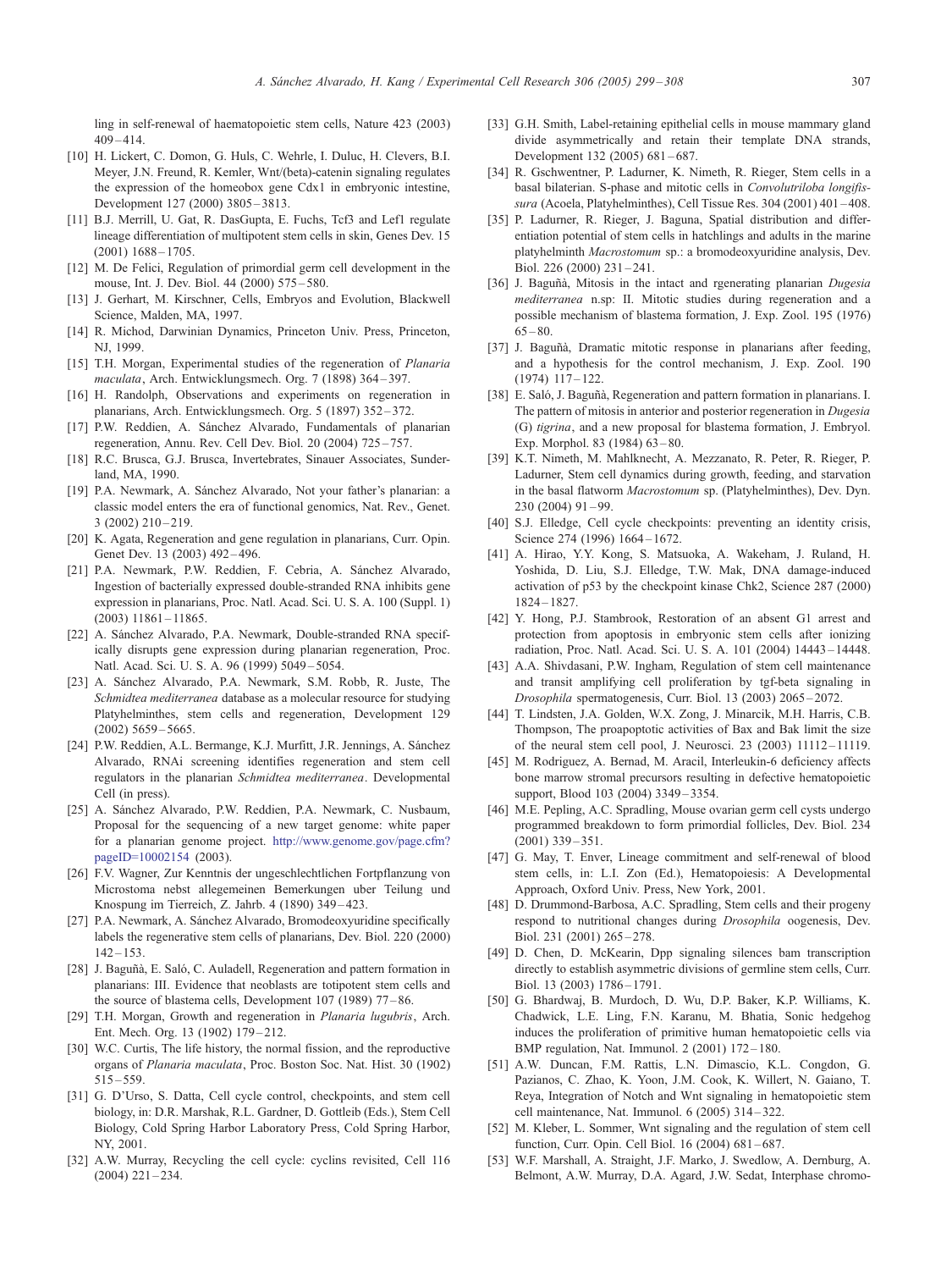<span id="page-8-0"></span>ling in self-renewal of haematopoietic stem cells, Nature 423 (2003)  $409 - 414$ 

- [10] H. Lickert, C. Domon, G. Huls, C. Wehrle, I. Duluc, H. Clevers, B.I. Meyer, J.N. Freund, R. Kemler, Wnt/(beta)-catenin signaling regulates the expression of the homeobox gene Cdx1 in embryonic intestine, Development 127 (2000) 3805 – 3813.
- [11] B.J. Merrill, U. Gat, R. DasGupta, E. Fuchs, Tcf3 and Lef1 regulate lineage differentiation of multipotent stem cells in skin, Genes Dev. 15 (2001) 1688 – 1705.
- [12] M. De Felici, Regulation of primordial germ cell development in the mouse, Int. J. Dev. Biol. 44 (2000) 575 – 580.
- [13] J. Gerhart, M. Kirschner, Cells, Embryos and Evolution, Blackwell Science, Malden, MA, 1997.
- [14] R. Michod, Darwinian Dynamics, Princeton Univ. Press, Princeton, NJ, 1999.
- [15] T.H. Morgan, Experimental studies of the regeneration of *Planaria* maculata, Arch. Entwicklungsmech. Org. 7 (1898) 364 – 397.
- [16] H. Randolph, Observations and experiments on regeneration in planarians, Arch. Entwicklungsmech. Org. 5 (1897) 352 – 372.
- [17] P.W. Reddien, A. Sánchez Alvarado, Fundamentals of planarian regeneration, Annu. Rev. Cell Dev. Biol. 20 (2004) 725 – 757.
- [18] R.C. Brusca, G.J. Brusca, Invertebrates, Sinauer Associates, Sunderland, MA, 1990.
- [19] P.A. Newmark, A. Sánchez Alvarado, Not your father's planarian: a classic model enters the era of functional genomics, Nat. Rev., Genet.  $3(2002)$   $210-219$ .
- [20] K. Agata, Regeneration and gene regulation in planarians, Curr. Opin. Genet Dev. 13 (2003) 492-496.
- [21] P.A. Newmark, P.W. Reddien, F. Cebria, A. Sánchez Alvarado, Ingestion of bacterially expressed double-stranded RNA inhibits gene expression in planarians, Proc. Natl. Acad. Sci. U. S. A. 100 (Suppl. 1)  $(2003)$  11861 – 11865.
- [22] A. Sánchez Alvarado, P.A. Newmark, Double-stranded RNA specifically disrupts gene expression during planarian regeneration, Proc. Natl. Acad. Sci. U. S. A. 96 (1999) 5049 – 5054.
- [23] A. Sánchez Alvarado, P.A. Newmark, S.M. Robb, R. Juste, The Schmidtea mediterranea database as a molecular resource for studying Platyhelminthes, stem cells and regeneration, Development 129  $(2002)$  5659 – 5665.
- [24] P.W. Reddien, A.L. Bermange, K.J. Murfitt, J.R. Jennings, A. Sánchez Alvarado, RNAi screening identifies regeneration and stem cell regulators in the planarian Schmidtea mediterranea. Developmental Cell (in press).
- [25] A. Sánchez Alvarado, P.W. Reddien, P.A. Newmark, C. Nusbaum, Proposal for the sequencing of a new target genome: white paper for a planarian genome project. [http://www.genome.gov/page.cfm?]( http:\\www.genome.gov\page.cfm?pageID=10002154 ) pageID=10002154 (2003).
- [26] F.V. Wagner, Zur Kenntnis der ungeschlechtlichen Fortpflanzung von Microstoma nebst allegemeinen Bemerkungen uber Teilung und Knospung im Tierreich, Z. Jahrb. 4 (1890) 349 – 423.
- [27] P.A. Newmark, A. Sánchez Alvarado, Bromodeoxyuridine specifically labels the regenerative stem cells of planarians, Dev. Biol. 220 (2000)  $142 - 153$
- [28] J. Baguñà, E. Saló, C. Auladell, Regeneration and pattern formation in planarians: III. Evidence that neoblasts are totipotent stem cells and the source of blastema cells, Development 107 (1989) 77-86.
- [29] T.H. Morgan, Growth and regeneration in *Planaria lugubris*, Arch. Ent. Mech. Org. 13 (1902) 179 – 212.
- [30] W.C. Curtis, The life history, the normal fission, and the reproductive organs of Planaria maculata, Proc. Boston Soc. Nat. Hist. 30 (1902)  $515 - 559.$
- [31] G. D'Urso, S. Datta, Cell cycle control, checkpoints, and stem cell biology, in: D.R. Marshak, R.L. Gardner, D. Gottleib (Eds.), Stem Cell Biology, Cold Spring Harbor Laboratory Press, Cold Spring Harbor, NY, 2001.
- [32] A.W. Murray, Recycling the cell cycle: cyclins revisited, Cell 116  $(2004)$  221 – 234.
- [33] G.H. Smith, Label-retaining epithelial cells in mouse mammary gland divide asymmetrically and retain their template DNA strands, Development 132 (2005) 681-687.
- [34] R. Gschwentner, P. Ladurner, K. Nimeth, R. Rieger, Stem cells in a basal bilaterian. S-phase and mitotic cells in Convolutriloba longifissura (Acoela, Platyhelminthes), Cell Tissue Res. 304 (2001) 401 – 408.
- [35] P. Ladurner, R. Rieger, J. Baguna, Spatial distribution and differentiation potential of stem cells in hatchlings and adults in the marine platyhelminth Macrostomum sp.: a bromodeoxyuridine analysis, Dev. Biol. 226 (2000) 231 – 241.
- [36] J. Baguñà, Mitosis in the intact and rgenerating planarian Dugesia mediterranea n.sp: II. Mitotic studies during regeneration and a possible mechanism of blastema formation, J. Exp. Zool. 195 (1976)  $65 - 80$
- [37] J. Baguñà, Dramatic mitotic response in planarians after feeding, and a hypothesis for the control mechanism, J. Exp. Zool. 190  $(1974)$   $117 - 122$ .
- [38] E. Saló, J. Baguñà, Regeneration and pattern formation in planarians. I. The pattern of mitosis in anterior and posterior regeneration in *Dugesia* (G) tigrina, and a new proposal for blastema formation, J. Embryol. Exp. Morphol. 83 (1984) 63 – 80.
- [39] K.T. Nimeth, M. Mahlknecht, A. Mezzanato, R. Peter, R. Rieger, P. Ladurner, Stem cell dynamics during growth, feeding, and starvation in the basal flatworm Macrostomum sp. (Platyhelminthes), Dev. Dyn. 230 (2004) 91 – 99.
- [40] S.J. Elledge, Cell cycle checkpoints: preventing an identity crisis, Science 274 (1996) 1664-1672.
- [41] A. Hirao, Y.Y. Kong, S. Matsuoka, A. Wakeham, J. Ruland, H. Yoshida, D. Liu, S.J. Elledge, T.W. Mak, DNA damage-induced activation of p53 by the checkpoint kinase Chk2, Science 287 (2000) 1824 – 1827.
- [42] Y. Hong, P.J. Stambrook, Restoration of an absent G1 arrest and protection from apoptosis in embryonic stem cells after ionizing radiation, Proc. Natl. Acad. Sci. U. S. A. 101 (2004) 14443 – 14448.
- [43] A.A. Shivdasani, P.W. Ingham, Regulation of stem cell maintenance and transit amplifying cell proliferation by tgf-beta signaling in Drosophila spermatogenesis, Curr. Biol. 13 (2003) 2065 – 2072.
- [44] T. Lindsten, J.A. Golden, W.X. Zong, J. Minarcik, M.H. Harris, C.B. Thompson, The proapoptotic activities of Bax and Bak limit the size of the neural stem cell pool, J. Neurosci. 23 (2003) 11112 –11119.
- [45] M. Rodriguez, A. Bernad, M. Aracil, Interleukin-6 deficiency affects bone marrow stromal precursors resulting in defective hematopoietic support, Blood 103 (2004) 3349 – 3354.
- [46] M.E. Pepling, A.C. Spradling, Mouse ovarian germ cell cysts undergo programmed breakdown to form primordial follicles, Dev. Biol. 234  $(2001)$  339 – 351.
- [47] G. May, T. Enver, Lineage commitment and self-renewal of blood stem cells, in: L.I. Zon (Ed.), Hematopoiesis: A Developmental Approach, Oxford Univ. Press, New York, 2001.
- [48] D. Drummond-Barbosa, A.C. Spradling, Stem cells and their progeny respond to nutritional changes during Drosophila oogenesis, Dev. Biol. 231 (2001) 265 – 278.
- [49] D. Chen, D. McKearin, Dpp signaling silences bam transcription directly to establish asymmetric divisions of germline stem cells, Curr. Biol. 13 (2003) 1786 – 1791.
- [50] G. Bhardwaj, B. Murdoch, D. Wu, D.P. Baker, K.P. Williams, K. Chadwick, L.E. Ling, F.N. Karanu, M. Bhatia, Sonic hedgehog induces the proliferation of primitive human hematopoietic cells via BMP regulation, Nat. Immunol. 2 (2001) 172 – 180.
- [51] A.W. Duncan, F.M. Rattis, L.N. Dimascio, K.L. Congdon, G. Pazianos, C. Zhao, K. Yoon, J.M. Cook, K. Willert, N. Gaiano, T. Reya, Integration of Notch and Wnt signaling in hematopoietic stem cell maintenance, Nat. Immunol. 6 (2005) 314 – 322.
- [52] M. Kleber, L. Sommer, Wnt signaling and the regulation of stem cell function, Curr. Opin. Cell Biol. 16 (2004) 681 – 687.
- [53] W.F. Marshall, A. Straight, J.F. Marko, J. Swedlow, A. Dernburg, A. Belmont, A.W. Murray, D.A. Agard, J.W. Sedat, Interphase chromo-